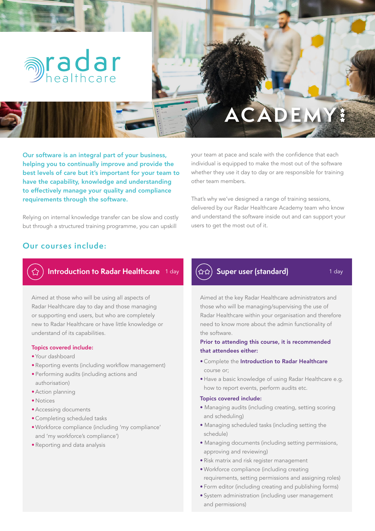

# **ACADEMY**

Our software is an integral part of your business, helping you to continually improve and provide the best levels of care but it's important for your team to have the capability, knowledge and understanding to effectively manage your quality and compliance requirements through the software.

Relying on internal knowledge transfer can be slow and costly but through a structured training programme, you can upskill

your team at pace and scale with the confidence that each individual is equipped to make the most out of the software whether they use it day to day or are responsible for training other team members.

That's why we've designed a range of training sessions, delivered by our Radar Healthcare Academy team who know and understand the software inside out and can support your users to get the most out of it.

## **Our courses include:**



# **Introduction to Radar Healthcare** 1 day  $(\& \& \&)$  Super user (standard) 1 day

Aimed at those who will be using all aspects of Radar Healthcare day to day and those managing or supporting end users, but who are completely new to Radar Healthcare or have little knowledge or understand of its capabilities.

#### Topics covered include:

- Your dashboard
- Reporting events (including workflow management)
- Performing audits (including actions and authorisation)
- •Action planning
- Notices
- •Accessing documents
- Completing scheduled tasks
- Workforce compliance (including 'my compliance' and 'my workforce's compliance')
- Reporting and data analysis



Aimed at the key Radar Healthcare administrators and those who will be managing/supervising the use of Radar Healthcare within your organisation and therefore need to know more about the admin functionality of the software.

#### Prior to attending this course, it is recommended that attendees either:

- Complete the Introduction to Radar Healthcare course or;
- Have a basic knowledge of using Radar Healthcare e.g. how to report events, perform audits etc.

#### Topics covered include:

- Managing audits (including creating, setting scoring and scheduling)
- Managing scheduled tasks (including setting the schedule)
- Managing documents (including setting permissions, approving and reviewing)
- Risk matrix and risk register management
- Workforce compliance (including creating requirements, setting permissions and assigning roles)
- Form editor (including creating and publishing forms)
- System administration (including user management and permissions)